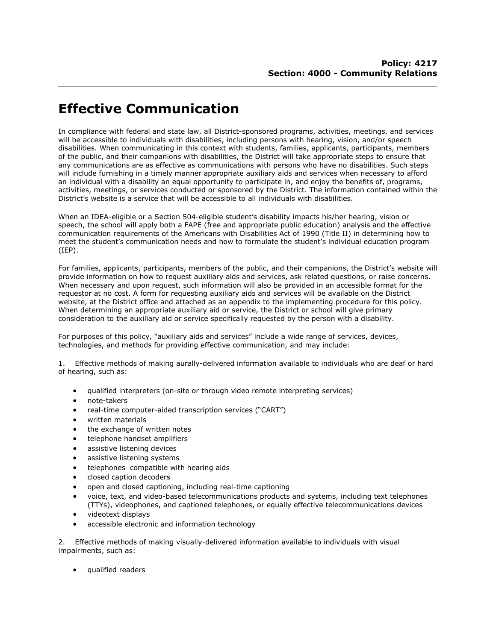## **Effective Communication**

In compliance with federal and state law, all District-sponsored programs, activities, meetings, and services will be accessible to individuals with disabilities, including persons with hearing, vision, and/or speech disabilities. When communicating in this context with students, families, applicants, participants, members of the public, and their companions with disabilities, the District will take appropriate steps to ensure that any communications are as effective as communications with persons who have no disabilities. Such steps will include furnishing in a timely manner appropriate auxiliary aids and services when necessary to afford an individual with a disability an equal opportunity to participate in, and enjoy the benefits of, programs, activities, meetings, or services conducted or sponsored by the District. The information contained within the District's website is a service that will be accessible to all individuals with disabilities.

When an IDEA-eligible or a Section 504-eligible student's disability impacts his/her hearing, vision or speech, the school will apply both a FAPE (free and appropriate public education) analysis and the effective communication requirements of the Americans with Disabilities Act of 1990 (Title II) in determining how to meet the student's communication needs and how to formulate the student's individual education program (IEP).

For families, applicants, participants, members of the public, and their companions, the District's website will provide information on how to request auxiliary aids and services, ask related questions, or raise concerns. When necessary and upon request, such information will also be provided in an accessible format for the requestor at no cost. A form for requesting auxiliary aids and services will be available on the District website, at the District office and attached as an appendix to the implementing procedure for this policy. When determining an appropriate auxiliary aid or service, the District or school will give primary consideration to the auxiliary aid or service specifically requested by the person with a disability.

For purposes of this policy, "auxiliary aids and services" include a wide range of services, devices, technologies, and methods for providing effective communication, and may include:

1. Effective methods of making aurally-delivered information available to individuals who are deaf or hard of hearing, such as:

- qualified interpreters (on-site or through video remote interpreting services)
- note-takers
- real-time computer-aided transcription services ("CART")
- written materials
- the exchange of written notes
- telephone handset amplifiers
- **•** assistive listening devices
- assistive listening systems
- **•** telephones compatible with hearing aids
- closed caption decoders
- open and closed captioning, including real-time captioning
- voice, text, and video-based telecommunications products and systems, including text telephones (TTYs), videophones, and captioned telephones, or equally effective telecommunications devices
- videotext displays
- accessible electronic and information technology

2. Effective methods of making visually-delivered information available to individuals with visual impairments, such as:

qualified readers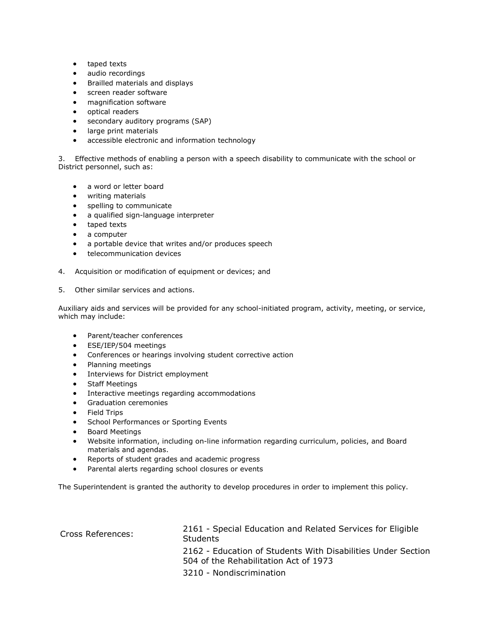- taped texts
- audio recordings
- Brailled materials and displays
- **•** screen reader software
- magnification software
- optical readers
- secondary auditory programs (SAP)
- large print materials
- accessible electronic and information technology

3. Effective methods of enabling a person with a speech disability to communicate with the school or District personnel, such as:

- a word or letter board
- writing materials
- spelling to communicate
- a qualified sign-language interpreter
- taped texts
- a computer
- a portable device that writes and/or produces speech
- **•** telecommunication devices
- 4. Acquisition or modification of equipment or devices; and
- 5. Other similar services and actions.

Auxiliary aids and services will be provided for any school-initiated program, activity, meeting, or service, which may include:

- Parent/teacher conferences
- ESE/IEP/504 meetings
- Conferences or hearings involving student corrective action
- Planning meetings
- Interviews for District employment
- Staff Meetings
- **•** Interactive meetings regarding accommodations
- **•** Graduation ceremonies
- **•** Field Trips
- **•** School Performances or Sporting Events
- **•** Board Meetings
- Website information, including on-line information regarding curriculum, policies, and Board materials and agendas.
- Reports of student grades and academic progress
- Parental alerts regarding school closures or events

The Superintendent is granted the authority to develop procedures in order to implement this policy.

| Cross References: | 2161 - Special Education and Related Services for Eligible<br><b>Students</b>                         |
|-------------------|-------------------------------------------------------------------------------------------------------|
|                   | 2162 - Education of Students With Disabilities Under Section<br>504 of the Rehabilitation Act of 1973 |
|                   | 3210 - Nondiscrimination                                                                              |